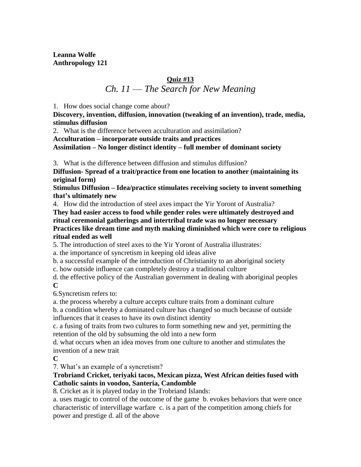**Leanna Wolfe Anthropology 121** 

## **Quiz #13** *Ch. 11 –– The Search for New Meaning*

1. How does social change come about?

**Discovery, invention, diffusion, innovation (tweaking of an invention), trade, media, stimulus diffusion** 

2. What is the difference between acculturation and assimilation?

**Acculturation – incorporate outside traits and practices**

**Assimilation – No longer distinct identity – full member of dominant society**

3. What is the difference between diffusion and stimulus diffusion?

**Diffusion- Spread of a trait/practice from one location to another (maintaining its original form)** 

**Stimulus Diffusion – Idea/practice stimulates receiving society to invent something that's ultimately new** 

4. How did the introduction of steel axes impact the Yir Yoront of Australia?

**They had easier access to food while gender roles were ultimately destroyed and ritual ceremonial gatherings and intertribal trade was no longer necessary Practices like dream time and myth making diminished which were core to religious ritual ended as well**

5. The introduction of steel axes to the Yir Yoront of Australia illustrates:

a. the importance of syncretism in keeping old ideas alive

b. a successful example of the introduction of Christianity to an aboriginal society

c. how outside influence can completely destroy a traditional culture

d. the effective policy of the Australian government in dealing with aboriginal peoples **C**

6*.*Syncretism refers to:

a. the process whereby a culture accepts culture traits from a dominant culture

b. a condition whereby a dominated culture has changed so much because of outside influences that it ceases to have its own distinct identity

c. a fusing of traits from two cultures to form something new and yet, permitting the retention of the old by subsuming the old into a new form

d. what occurs when an idea moves from one culture to another and stimulates the invention of a new trait

**C**

7. What's an example of a syncretism?

#### **Trobriand Cricket, teriyaki tacos, Mexican pizza, West African deities fused with Catholic saints in voodoo, Santeria, Candomble**

8*.* Cricket as it is played today in the Trobriand Islands:

a. uses magic to control of the outcome of the game b. evokes behaviors that were once characteristic of intervillage warfare c. is a part of the competition among chiefs for power and prestige d. all of the above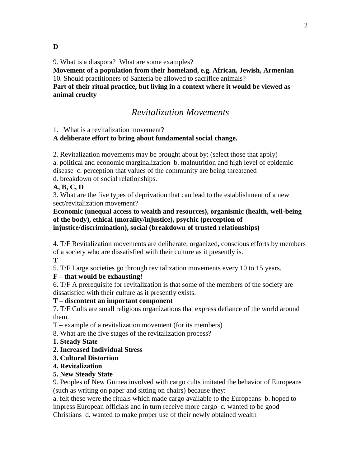9. What is a diaspora? What are some examples?

**Movement of a population from their homeland, e.g. African, Jewish, Armenian** 10. Should practitioners of Santeria be allowed to sacrifice animals?

**Part of their ritual practice, but living in a context where it would be viewed as animal cruelty**

## *Revitalization Movements*

1. What is a revitalization movement?

#### **A deliberate effort to bring about fundamental social change.**

2. Revitalization movements may be brought about by: (select those that apply)

a. political and economic marginalization b. malnutrition and high level of epidemic disease c. perception that values of the community are being threatened

d. breakdown of social relationships.

#### **A, B, C, D**

3. What are the five types of deprivation that can lead to the establishment of a new sect/revitalization movement?

#### **Economic (unequal access to wealth and resources), organismic (health, well-being of the body), ethical (morality/injustice), psychic (perception of injustice/discrimination), social (breakdown of trusted relationships)**

4. T/F Revitalization movements are deliberate, organized, conscious efforts by members of a society who are dissatisfied with their culture as it presently is.

**T**

5. T/F Large societies go through revitalization movements every 10 to 15 years.

#### **F – that would be exhausting!**

6. T/F A prerequisite for revitalization is that some of the members of the society are dissatisfied with their culture as it presently exists.

#### **T – discontent an important component**

7. T/F Cults are small religious organizations that express defiance of the world around them.

T – example of a revitalization movement (for its members)

8. What are the five stages of the revitalization process?

- **1. Steady State**
- **2. Increased Individual Stress**
- **3. Cultural Distortion**
- **4. Revitalization**

#### **5. New Steady State**

9. Peoples of New Guinea involved with cargo cults imitated the behavior of Europeans (such as writing on paper and sitting on chairs) because they:

a. felt these were the rituals which made cargo available to the Europeans b. hoped to impress European officials and in turn receive more cargo c. wanted to be good Christians d. wanted to make proper use of their newly obtained wealth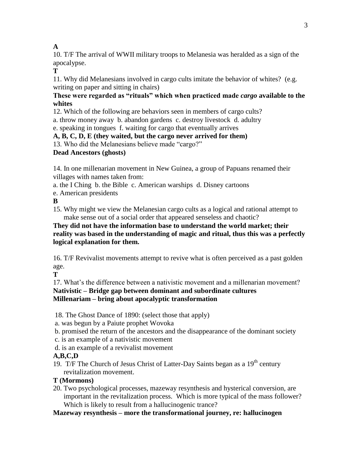### **A**

10. T/F The arrival of WWII military troops to Melanesia was heralded as a sign of the apocalypse.

**T**

11. Why did Melanesians involved in cargo cults imitate the behavior of whites? (e.g. writing on paper and sitting in chairs)

#### **These were regarded as "rituals" which when practiced made** *cargo* **available to the whites**

12. Which of the following are behaviors seen in members of cargo cults?

a. throw money away b. abandon gardens c. destroy livestock d. adultry

e. speaking in tongues f. waiting for cargo that eventually arrives

### **A, B, C, D, E (they waited, but the cargo never arrived for them)**

13. Who did the Melanesians believe made "cargo?"

### **Dead Ancestors (ghosts)**

14. In one millenarian movement in New Guinea, a group of Papuans renamed their villages with names taken from:

a. the I Ching b. the Bible c. American warships d. Disney cartoons

e. American presidents

**B**

15. Why might we view the Melanesian cargo cults as a logical and rational attempt to make sense out of a social order that appeared senseless and chaotic?

**They did not have the information base to understand the world market; their reality was based in the understanding of magic and ritual, thus this was a perfectly logical explanation for them.**

16. T/F Revivalist movements attempt to revive what is often perceived as a past golden age.

**T**

17. What's the difference between a nativistic movement and a millenarian movement? **Nativistic – Bridge gap between dominant and subordinate cultures Millenariam – bring about apocalyptic transformation**

18. The Ghost Dance of 1890: (select those that apply)

a. was begun by a Paiute prophet Wovoka

b. promised the return of the ancestors and the disappearance of the dominant society

- c. is an example of a nativistic movement
- d. is an example of a revivalist movement

## **A,B,C,D**

19. T/F The Church of Jesus Christ of Latter-Day Saints began as a  $19<sup>th</sup>$  century revitalization movement.

## **T (Mormons)**

20. Two psychological processes, mazeway resynthesis and hysterical conversion, are important in the revitalization process. Which is more typical of the mass follower? Which is likely to result from a hallucinogenic trance?

**Mazeway resynthesis – more the transformational journey, re: hallucinogen**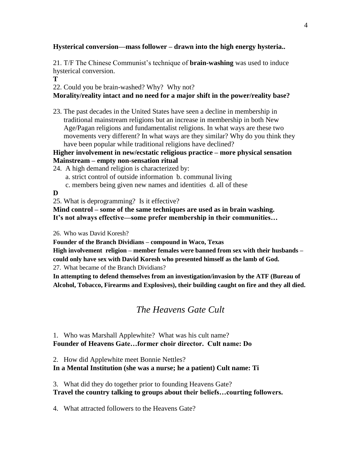#### **Hysterical conversion—mass follower – drawn into the high energy hysteria..**

21. T/F The Chinese Communist's technique of **brain-washing** was used to induce hysterical conversion.

**T**

22. Could you be brain-washed? Why? Why not?

#### **Morality/reality intact and no need for a major shift in the power/reality base?**

23. The past decades in the United States have seen a decline in membership in traditional mainstream religions but an increase in membership in both New Age/Pagan religions and fundamentalist religions. In what ways are these two movements very different? In what ways are they similar? Why do you think they have been popular while traditional religions have declined?

#### **Higher involvement in new/ecstatic religious practice – more physical sensation Mainstream – empty non-sensation ritual**

24. A high demand religion is characterized by:

- a. strict control of outside information b. communal living
- c. members being given new names and identities d. all of these

#### **D**

25. What is deprogramming? Is it effective?

**Mind control – some of the same techniques are used as in brain washing. It's not always effective—some prefer membership in their communities…**

26. Who was David Koresh?

**Founder of the Branch Dividians – compound in Waco, Texas**

**High involvement religion – member females were banned from sex with their husbands – could only have sex with David Koresh who presented himself as the lamb of God.** 27. What became of the Branch Dividians?

**In attempting to defend themselves from an investigation/invasion by the ATF (Bureau of Alcohol, Tobacco, Firearms and Explosives), their building caught on fire and they all died.**

## *The Heavens Gate Cult*

### 1. Who was Marshall Applewhite? What was his cult name? **Founder of Heavens Gate…former choir director. Cult name: Do**

2. How did Applewhite meet Bonnie Nettles?

#### **In a Mental Institution (she was a nurse; he a patient) Cult name: Ti**

3. What did they do together prior to founding Heavens Gate?

### **Travel the country talking to groups about their beliefs…courting followers.**

4. What attracted followers to the Heavens Gate?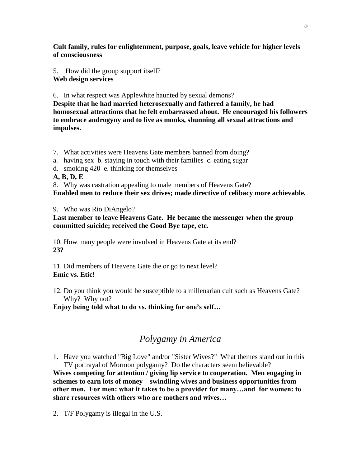**Cult family, rules for enlightenment, purpose, goals, leave vehicle for higher levels of consciousness**

5. How did the group support itself? **Web design services**

6. In what respect was Applewhite haunted by sexual demons?

**Despite that he had married heterosexually and fathered a family, he had homosexual attractions that he felt embarrassed about. He encouraged his followers to embrace androgyny and to live as monks, shunning all sexual attractions and impulses.** 

7. What activities were Heavens Gate members banned from doing?

- a. having sex b. staying in touch with their families c. eating sugar
- d. smoking 420 e. thinking for themselves

**A, B, D, E**

8. Why was castration appealing to male members of Heavens Gate?

**Enabled men to reduce their sex drives; made directive of celibacy more achievable.**

9. Who was Rio DiAngelo?

#### **Last member to leave Heavens Gate. He became the messenger when the group committed suicide; received the Good Bye tape, etc.**

10. How many people were involved in Heavens Gate at its end? **23?**

11. Did members of Heavens Gate die or go to next level? **Emic vs. Etic!**

12. Do you think you would be susceptible to a millenarian cult such as Heavens Gate? Why? Why not?

**Enjoy being told what to do vs. thinking for one's self…**

## *Polygamy in America*

1. Have you watched "Big Love" and/or "Sister Wives?" What themes stand out in this TV portrayal of Mormon polygamy? Do the characters seem believable?

**Wives competing for attention / giving lip service to cooperation. Men engaging in schemes to earn lots of money – swindling wives and business opportunities from other men. For men: what it takes to be a provider for many…and for women: to share resources with others who are mothers and wives…**

2. T/F Polygamy is illegal in the U.S.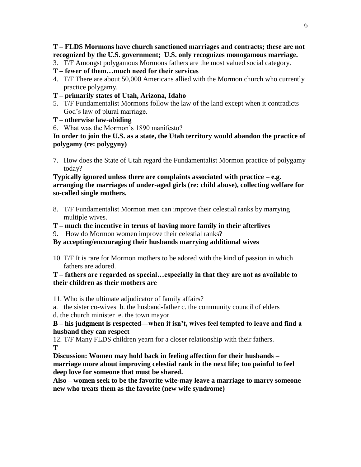#### **T – FLDS Mormons have church sanctioned marriages and contracts; these are not recognized by the U.S. government; U.S. only recognizes monogamous marriage.**

- 3. T/F Amongst polygamous Mormons fathers are the most valued social category.
- **T – fewer of them…much need for their services**
- 4. T/F There are about 50,000 Americans allied with the Mormon church who currently practice polygamy.
- **T – primarily states of Utah, Arizona, Idaho**
- 5. T/F Fundamentalist Mormons follow the law of the land except when it contradicts God's law of plural marriage.
- **T – otherwise law-abiding**
- 6. What was the Mormon's 1890 manifesto?

**In order to join the U.S. as a state, the Utah territory would abandon the practice of polygamy (re: polygyny)**

7. How does the State of Utah regard the Fundamentalist Mormon practice of polygamy today?

#### **Typically ignored unless there are complaints associated with practice – e.g. arranging the marriages of under-aged girls (re: child abuse), collecting welfare for so-called single mothers.**

- 8. T/F Fundamentalist Mormon men can improve their celestial ranks by marrying multiple wives.
- **T – much the incentive in terms of having more family in their afterlives**
- 9. How do Mormon women improve their celestial ranks?

#### **By accepting/encouraging their husbands marrying additional wives**

10. T/F It is rare for Mormon mothers to be adored with the kind of passion in which fathers are adored.

#### **T – fathers are regarded as special…especially in that they are not as available to their children as their mothers are**

- 11. Who is the ultimate adjudicator of family affairs?
- a. the sister co-wives b. the husband-father c. the community council of elders d. the church minister e. the town mayor

#### **B – his judgment is respected—when it isn't, wives feel tempted to leave and find a husband they can respect**

12. T/F Many FLDS children yearn for a closer relationship with their fathers. **T**

**Discussion: Women may hold back in feeling affection for their husbands – marriage more about improving celestial rank in the next life; too painful to feel deep love for someone that must be shared.**

**Also – women seek to be the favorite wife-may leave a marriage to marry someone new who treats them as the favorite (new wife syndrome)**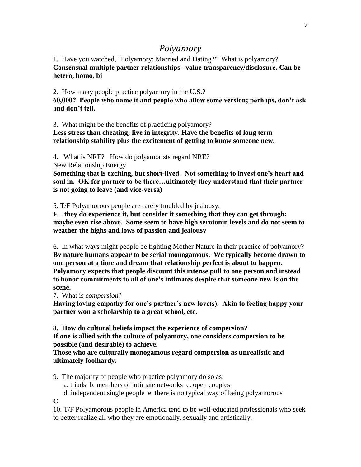# *Polyamory*

1. Have you watched, "Polyamory: Married and Dating?" What is polyamory? **Consensual multiple partner relationships –value transparency/disclosure. Can be hetero, homo, bi**

2. How many people practice polyamory in the U.S.? **60,000? People who name it and people who allow some version; perhaps, don't ask and don't tell.**

3. What might be the benefits of practicing polyamory?

**Less stress than cheating; live in integrity. Have the benefits of long term relationship stability plus the excitement of getting to know someone new.**

4. What is NRE? How do polyamorists regard NRE?

New Relationship Energy

**Something that is exciting, but short-lived. Not something to invest one's heart and soul in. OK for partner to be there…ultimately they understand that their partner is not going to leave (and vice-versa)**

5. T/F Polyamorous people are rarely troubled by jealousy.

**F – they do experience it, but consider it something that they can get through; maybe even rise above. Some seem to have high serotonin levels and do not seem to weather the highs and lows of passion and jealousy**

6. In what ways might people be fighting Mother Nature in their practice of polyamory? **By nature humans appear to be serial monogamous. We typically become drawn to one person at a time and dream that relationship perfect is about to happen. Polyamory expects that people discount this intense pull to one person and instead to honor commitments to all of one's intimates despite that someone new is on the scene.**

7. What is *compersion*?

**Having loving empathy for one's partner's new love(s). Akin to feeling happy your partner won a scholarship to a great school, etc.**

**8. How do cultural beliefs impact the experience of compersion? If one is allied with the culture of polyamory, one considers compersion to be possible (and desirable) to achieve.**

**Those who are culturally monogamous regard compersion as unrealistic and ultimately foolhardy.**

9. The majority of people who practice polyamory do so as:

a. triads b. members of intimate networks c. open couples

d. independent single people e. there is no typical way of being polyamorous

**C**

10. T/F Polyamorous people in America tend to be well-educated professionals who seek to better realize all who they are emotionally, sexually and artistically.